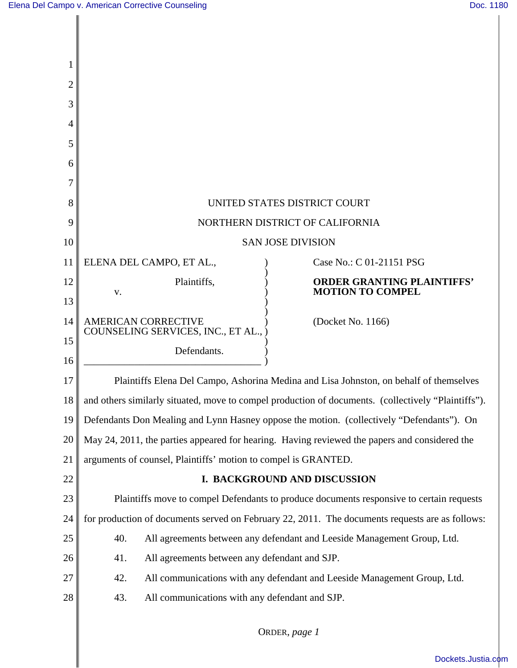| 1              |                                                                                                     |  |  |
|----------------|-----------------------------------------------------------------------------------------------------|--|--|
| $\overline{c}$ |                                                                                                     |  |  |
| 3              |                                                                                                     |  |  |
| 4              |                                                                                                     |  |  |
| 5              |                                                                                                     |  |  |
| 6              |                                                                                                     |  |  |
| 7              |                                                                                                     |  |  |
| 8              | UNITED STATES DISTRICT COURT                                                                        |  |  |
| 9              | NORTHERN DISTRICT OF CALIFORNIA                                                                     |  |  |
| 10             | <b>SAN JOSE DIVISION</b>                                                                            |  |  |
| 11             | ELENA DEL CAMPO, ET AL.,<br>Case No.: C 01-21151 PSG                                                |  |  |
| 12             | Plaintiffs,<br><b>ORDER GRANTING PLAINTIFFS'</b><br><b>MOTION TO COMPEL</b><br>V.                   |  |  |
| 13             |                                                                                                     |  |  |
| 14             | <b>AMERICAN CORRECTIVE</b><br>(Docket No. 1166)<br>COUNSELING SERVICES, INC., ET AL.,               |  |  |
| 15             | Defendants.                                                                                         |  |  |
| 16             |                                                                                                     |  |  |
| 17             | Plaintiffs Elena Del Campo, Ashorina Medina and Lisa Johnston, on behalf of themselves              |  |  |
| 18             | and others similarly situated, move to compel production of documents. (collectively "Plaintiffs"). |  |  |
| 19             | Defendants Don Mealing and Lynn Hasney oppose the motion. (collectively "Defendants"). On           |  |  |
| 20             | May 24, 2011, the parties appeared for hearing. Having reviewed the papers and considered the       |  |  |
| 21             | arguments of counsel, Plaintiffs' motion to compel is GRANTED.                                      |  |  |
| 22             | I. BACKGROUND AND DISCUSSION                                                                        |  |  |
| 23             | Plaintiffs move to compel Defendants to produce documents responsive to certain requests            |  |  |
| 24             | for production of documents served on February 22, 2011. The documents requests are as follows:     |  |  |
| 25             | 40.<br>All agreements between any defendant and Leeside Management Group, Ltd.                      |  |  |
| 26             | All agreements between any defendant and SJP.<br>41.                                                |  |  |
| 27             | 42.<br>All communications with any defendant and Leeside Management Group, Ltd.                     |  |  |
| 28             | All communications with any defendant and SJP.<br>43.                                               |  |  |
|                |                                                                                                     |  |  |

ORDER, *page 1*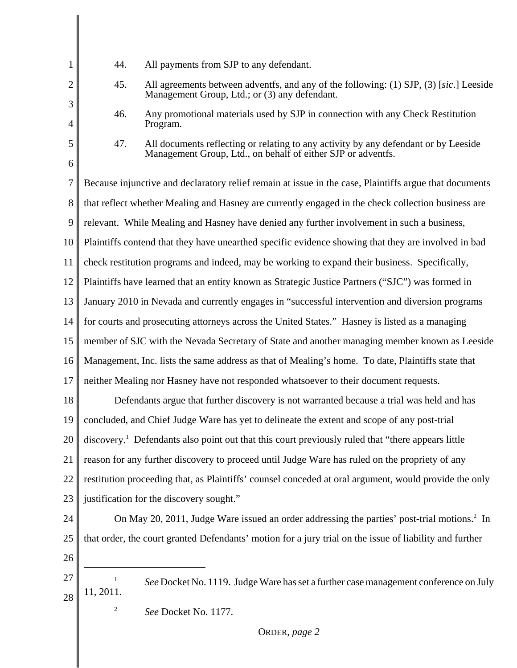| 1                   | 44.                                                                                                    | All payments from SJP to any defendant.                                                                                                             |  |  |
|---------------------|--------------------------------------------------------------------------------------------------------|-----------------------------------------------------------------------------------------------------------------------------------------------------|--|--|
| $\overline{2}$<br>3 | 45.                                                                                                    | All agreements between adventfs, and any of the following: (1) SJP, (3) [sic.] Leeside<br>Management Group, Ltd.; or (3) any defendant.             |  |  |
| 4                   | 46.                                                                                                    | Any promotional materials used by SJP in connection with any Check Restitution<br>Program.                                                          |  |  |
| 5<br>6              | 47.                                                                                                    | All documents reflecting or relating to any activity by any defendant or by Leeside<br>Management Group, Ltd., on behalf of either SJP or adventfs. |  |  |
| 7                   |                                                                                                        |                                                                                                                                                     |  |  |
|                     | Because injunctive and declaratory relief remain at issue in the case, Plaintiffs argue that documents |                                                                                                                                                     |  |  |
| 8                   | that reflect whether Mealing and Hasney are currently engaged in the check collection business are     |                                                                                                                                                     |  |  |
| 9                   | relevant. While Mealing and Hasney have denied any further involvement in such a business,             |                                                                                                                                                     |  |  |
| 10                  | Plaintiffs contend that they have unearthed specific evidence showing that they are involved in bad    |                                                                                                                                                     |  |  |
| 11                  | check restitution programs and indeed, may be working to expand their business. Specifically,          |                                                                                                                                                     |  |  |
| 12                  |                                                                                                        | Plaintiffs have learned that an entity known as Strategic Justice Partners ("SJC") was formed in                                                    |  |  |
| 13                  | January 2010 in Nevada and currently engages in "successful intervention and diversion programs        |                                                                                                                                                     |  |  |
| 14                  | for courts and prosecuting attorneys across the United States." Hasney is listed as a managing         |                                                                                                                                                     |  |  |
| 15                  | member of SJC with the Nevada Secretary of State and another managing member known as Leeside          |                                                                                                                                                     |  |  |
| 16                  | Management, Inc. lists the same address as that of Mealing's home. To date, Plaintiffs state that      |                                                                                                                                                     |  |  |
| 17                  | neither Mealing nor Hasney have not responded whatsoever to their document requests.                   |                                                                                                                                                     |  |  |
| 18                  | Defendants argue that further discovery is not warranted because a trial was held and has              |                                                                                                                                                     |  |  |
| 19                  | concluded, and Chief Judge Ware has yet to delineate the extent and scope of any post-trial            |                                                                                                                                                     |  |  |
| 20                  |                                                                                                        | discovery. <sup>1</sup> Defendants also point out that this court previously ruled that "there appears little                                       |  |  |
| 21                  |                                                                                                        | reason for any further discovery to proceed until Judge Ware has ruled on the propriety of any                                                      |  |  |
| 22                  |                                                                                                        | restitution proceeding that, as Plaintiffs' counsel conceded at oral argument, would provide the only                                               |  |  |
| 23                  | justification for the discovery sought."                                                               |                                                                                                                                                     |  |  |
| 24                  |                                                                                                        | On May 20, 2011, Judge Ware issued an order addressing the parties' post-trial motions. <sup>2</sup> In                                             |  |  |
| 25                  |                                                                                                        | that order, the court granted Defendants' motion for a jury trial on the issue of liability and further                                             |  |  |
| 26                  |                                                                                                        |                                                                                                                                                     |  |  |
| 27                  |                                                                                                        | See Docket No. 1119. Judge Ware has set a further case management conference on July                                                                |  |  |
| 28                  | 11, 2011.                                                                                              |                                                                                                                                                     |  |  |
|                     | 2                                                                                                      | See Docket No. 1177.                                                                                                                                |  |  |
|                     |                                                                                                        | ORDER, page 2                                                                                                                                       |  |  |